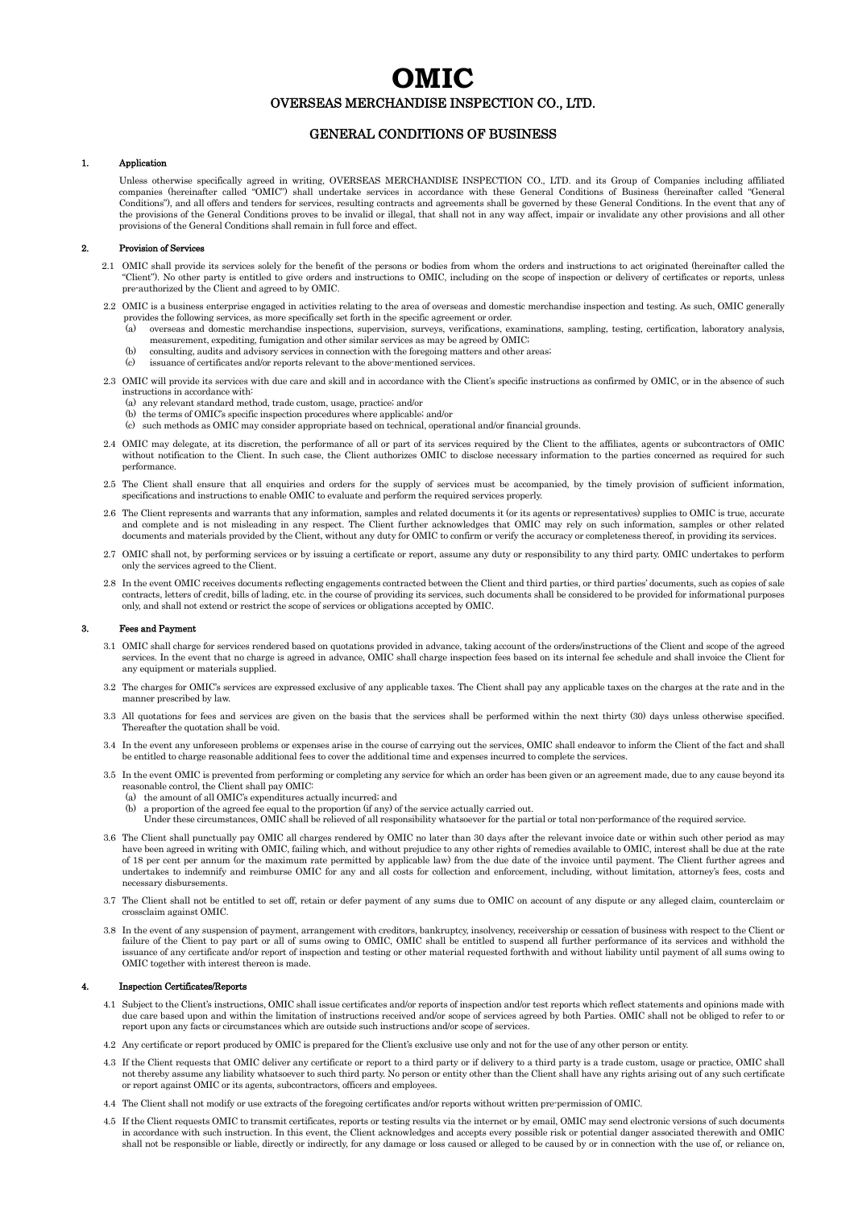# **OMIC**  OVERSEAS MERCHANDISE INSPECTION CO., LTD.

## GENERAL CONDITIONS OF BUSINESS

### 1. Application

 Unless otherwise specifically agreed in writing, OVERSEAS MERCHANDISE INSPECTION CO., LTD. and its Group of Companies including affiliated companies (hereinafter called "OMIC") shall undertake services in accordance with these General Conditions of Business (hereinafter called "General Conditions"), and all offers and tenders for services, resulting contracts and agreements shall be governed by these General Conditions. In the event that any of<br>the provisions of the General Conditions proves to be invali provisions of the General Conditions shall remain in full force and effect.

#### 2. Provision of Services

- 2.1 OMIC shall provide its services solely for the benefit of the persons or bodies from whom the orders and instructions to act originated (hereinafter called the "Client"). No other party is entitled to give orders and instructions to OMIC, including on the scope of inspection or delivery of certificates or reports, unless pre-authorized by the Client and agreed to by OMIC.
- 2.2 OMIC is a business enterprise engaged in activities relating to the area of overseas and domestic merchandise inspection and testing. As such, OMIC generally provides the following services, as more specifically set forth in the specific agreement or order.<br>(a) overseas and domestic merchandise inspections, supervision, surveys, verifications, ex
	- (a) overseas and domestic merchandise inspections, supervision, surveys, verifications, examinations, sampling, testing, certification, laboratory analysis, measurement, expediting, fumigation and other similar services as may be agreed by OMIC;
	- (b) consulting, audits and advisory services in connection with the foregoing matters and other areas;
	- issuance of certificates and/or reports relevant to the above-mentioned services
- 2.3 OMIC will provide its services with due care and skill and in accordance with the Client's specific instructions as confirmed by OMIC, or in the absence of such instructions in accordance with:
	- (a) any relevant standard method, trade custom, usage, practice; and/or
	- (b) the terms of OMIC's specific inspection procedures where applicable; and/or
	- (c) such methods as OMIC may consider appropriate based on technical, operational and/or financial grounds.
- 2.4 OMIC may delegate, at its discretion, the performance of all or part of its services required by the Client to the affiliates, agents or subcontractors of OMIC without notification to the Client. In such case, the Client authorizes OMIC to disclose necessary information to the parties concerned as required for such performance.
- 2.5 The Client shall ensure that all enquiries and orders for the supply of services must be accompanied, by the timely provision of sufficient information. specifications and instructions to enable OMIC to evaluate and perform the required services properly.
- 2.6 The Client represents and warrants that any information, samples and related documents it (or its agents or representatives) supplies to OMIC is true, accurate and complete and is not misleading in any respect. The Client further acknowledges that OMIC may rely on such information, samples or other related<br>documents and materials provided by the Client, without any duty for OMIC
- 2.7 OMIC shall not, by performing services or by issuing a certificate or report, assume any duty or responsibility to any third party. OMIC undertakes to perform only the services agreed to the Client.
- 2.8 In the event OMIC receives documents reflecting engagements contracted between the Client and third parties, or third parties' documents, such as copies of sale contracts, letters of credit, bills of lading, etc. in the course of providing its services, such documents shall be considered to be provided for informational purposes only, and shall not extend or restrict the scope of services or obligations accepted by OMIC.

#### 3. Fees and Payment

- 3.1 OMIC shall charge for services rendered based on quotations provided in advance, taking account of the orders/instructions of the Client and scope of the agreed services. In the event that no charge is agreed in advanc any equipment or materials supplied.
- 3.2 The charges for OMIC's services are expressed exclusive of any applicable taxes. The Client shall pay any applicable taxes on the charges at the rate and in the manner prescribed by law.
- 3.3 All quotations for fees and services are given on the basis that the services shall be performed within the next thirty (30) days unless otherwise specified. Thereafter the quotation shall be void.
- 3.4 In the event any unforeseen problems or expenses arise in the course of carrying out the services, OMIC shall endeavor to inform the Client of the fact and shall be entitled to charge reasonable additional fees to cover the additional time and expenses incurred to complete the services.
- 3.5 In the event OMIC is prevented from performing or completing any service for which an order has been given or an agreement made, due to any cause beyond its reasonable control, the Client shall pay OMIC:
	- (a) the amount of all OMIC's expenditures actually incurred; and
	- (b) a proportion of the agreed fee equal to the proportion (if any) of the service actually carried out.
	- Under these circumstances, OMIC shall be relieved of all responsibility whatsoever for the partial or total non-performance of the required service.
- 3.6 The Client shall punctually pay OMIC all charges rendered by OMIC no later than 30 days after the relevant invoice date or within such other period as may have been agreed in writing with OMIC, failing which, and without prejudice to any other rights of remedies available to OMIC, interest shall be due at the rate of 18 per cent per annum (or the maximum rate permitted by applicable law) from the due date of the invoice until payment. The Client further agrees and undertakes to indemnify and reimburse OMIC for any and all costs for collection and enforcement, including, without limitation, attorney's fees, costs and necessary disbursements.
- 3.7 The Client shall not be entitled to set off, retain or defer payment of any sums due to OMIC on account of any dispute or any alleged claim, counterclaim or crossclaim against OMIC.
- 3.8 In the event of any suspension of payment, arrangement with creditors, bankruptcy, insolvency, receivership or cessation of business with respect to the Client or failure of the Client to pay part or all of sums owing to OMIC, OMIC shall be entitled to suspend all further performance of its services and withhold the issuance of any certificate and/or report of inspection and testing or other material requested forthwith and without liability until payment of all sums owing to OMIC together with interest thereon is made.

#### 4. Inspection Certificates/Reports

- 4.1 Subject to the Client's instructions, OMIC shall issue certificates and/or reports of inspection and/or test reports which reflect statements and opinions made with due care based upon and within the limitation of instructions received and/or scope of services agreed by both Parties. OMIC shall not be obliged to refer to or report upon any facts or circumstances which are outside such instructions and/or scope of services.
- 4.2 Any certificate or report produced by OMIC is prepared for the Client's exclusive use only and not for the use of any other person or entity.
- 4.3 If the Client requests that OMIC deliver any certificate or report to a third party or if delivery to a third party is a trade custom, usage or practice, OMIC shall not thereby assume any liability whatsoever to such third party. No person or entity other than the Client shall have any rights arising out of any such certificate or report against OMIC or its agents, subcontractors, officers and employees.
- 4.4 The Client shall not modify or use extracts of the foregoing certificates and/or reports without written pre-permission of OMIC.
- 4.5 If the Client requests OMIC to transmit certificates, reports or testing results via the internet or by email, OMIC may send electronic versions of such documents in accordance with such instruction. In this event, the shall not be responsible or liable, directly or indirectly, for any damage or loss caused or alleged to be caused by or in connection with the use of, or reliance on,